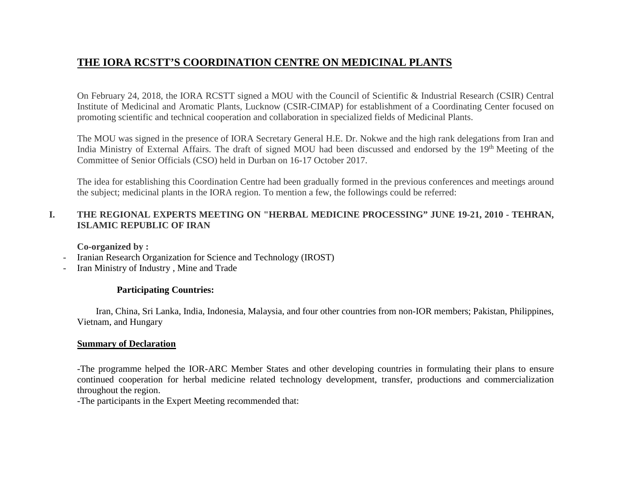# **THE IORA RCSTT'S COORDINATION CENTRE ON MEDICINAL PLANTS**

On February 24, 2018, the IORA RCSTT signed a MOU with the Council of Scientific & Industrial Research (CSIR) Central Institute of Medicinal and Aromatic Plants, Lucknow (CSIR-CIMAP) for establishment of a Coordinating Center focused on promoting scientific and technical cooperation and collaboration in specialized fields of Medicinal Plants.

The MOU was signed in the presence of IORA Secretary General H.E. Dr. Nokwe and the high rank delegations from Iran and India Ministry of External Affairs. The draft of signed MOU had been discussed and endorsed by the 19<sup>th</sup> Meeting of the Committee of Senior Officials (CSO) held in Durban on 16-17 October 2017.

The idea for establishing this Coordination Centre had been gradually formed in the previous conferences and meetings around the subject; medicinal plants in the IORA region. To mention a few, the followings could be referred:

## **I. THE REGIONAL EXPERTS MEETING ON "HERBAL MEDICINE PROCESSING" JUNE 19-21, 2010 - TEHRAN, ISLAMIC REPUBLIC OF IRAN**

**Co-organized by :** 

- **-** Iranian Research Organization for Science and Technology (IROST)
- **-** Iran Ministry of Industry , Mine and Trade

## **Participating Countries:**

 Iran, China, Sri Lanka, India, Indonesia, Malaysia, and four other countries from non-IOR members; Pakistan, Philippines, Vietnam, and Hungary

### **Summary of Declaration**

-The programme helped the IOR-ARC Member States and other developing countries in formulating their plans to ensure continued cooperation for herbal medicine related technology development, transfer, productions and commercialization throughout the region.

-The participants in the Expert Meeting recommended that: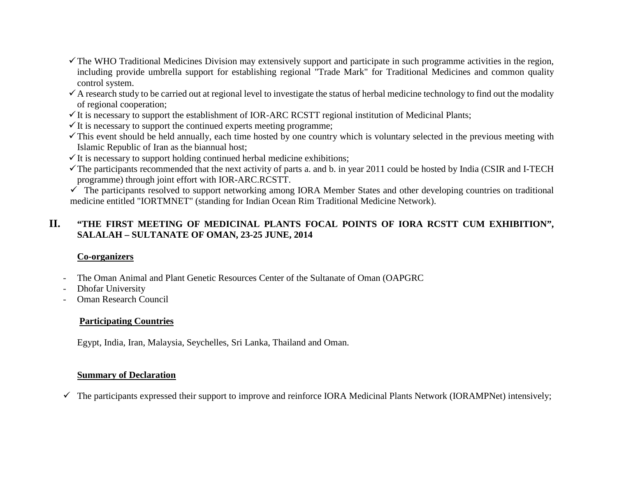- $\checkmark$  The WHO Traditional Medicines Division may extensively support and participate in such programme activities in the region, including provide umbrella support for establishing regional "Trade Mark" for Traditional Medicines and common quality control system.
- $\checkmark$  A research study to be carried out at regional level to investigate the status of herbal medicine technology to find out the modality of regional cooperation;
- $\checkmark$  It is necessary to support the establishment of IOR-ARC RCSTT regional institution of Medicinal Plants;
- $\checkmark$  It is necessary to support the continued experts meeting programme;
- $\checkmark$  This event should be held annually, each time hosted by one country which is voluntary selected in the previous meeting with Islamic Republic of Iran as the biannual host;
- $\checkmark$  It is necessary to support holding continued herbal medicine exhibitions;
- The participants recommended that the next activity of parts a. and b. in year 2011 could be hosted by India (CSIR and I-TECH programme) through joint effort with IOR-ARC.RCSTT.

 $\checkmark$  The participants resolved to support networking among IORA Member States and other developing countries on traditional medicine entitled "IORTMNET" (standing for Indian Ocean Rim Traditional Medicine Network).

# **II. "THE FIRST MEETING OF MEDICINAL PLANTS FOCAL POINTS OF IORA RCSTT CUM EXHIBITION", SALALAH – SULTANATE OF OMAN, 23-25 JUNE, 2014**

# **Co-organizers**

- **-** The Oman Animal and Plant Genetic Resources Center of the Sultanate of Oman (OAPGRC
- **-** Dhofar University
- **-** Oman Research Council

# **Participating Countries**

Egypt, India, Iran, Malaysia, Seychelles, Sri Lanka, Thailand and Oman.

# **Summary of Declaration**

 $\checkmark$  The participants expressed their support to improve and reinforce IORA Medicinal Plants Network (IORAMPNet) intensively;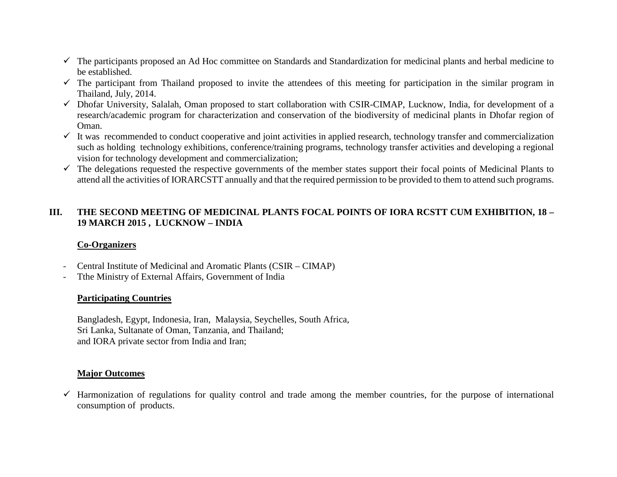- $\checkmark$  The participants proposed an Ad Hoc committee on Standards and Standardization for medicinal plants and herbal medicine to be established.
- $\checkmark$  The participant from Thailand proposed to invite the attendees of this meeting for participation in the similar program in Thailand, July, 2014.
- $\checkmark$  Dhofar University, Salalah, Oman proposed to start collaboration with CSIR-CIMAP, Lucknow, India, for development of a research/academic program for characterization and conservation of the biodiversity of medicinal plants in Dhofar region of Oman.
- $\checkmark$  It was recommended to conduct cooperative and joint activities in applied research, technology transfer and commercialization such as holding technology exhibitions, conference/training programs, technology transfer activities and developing a regional vision for technology development and commercialization;
- $\checkmark$  The delegations requested the respective governments of the member states support their focal points of Medicinal Plants to attend all the activities of IORARCSTT annually and that the required permission to be provided to them to attend such programs.

## **III. THE SECOND MEETING OF MEDICINAL PLANTS FOCAL POINTS OF IORA RCSTT CUM EXHIBITION, 18 – 19 MARCH 2015 , LUCKNOW – INDIA**

## **Co-Organizers**

- **-** Central Institute of Medicinal and Aromatic Plants (CSIR CIMAP)
- **-** Tthe Ministry of External Affairs, Government of India

## **Participating Countries**

Bangladesh, Egypt, Indonesia, Iran, Malaysia, Seychelles, South Africa, Sri Lanka, Sultanate of Oman, Tanzania, and Thailand; and IORA private sector from India and Iran;

## **Major Outcomes**

 $\checkmark$  Harmonization of regulations for quality control and trade among the member countries, for the purpose of international consumption of products.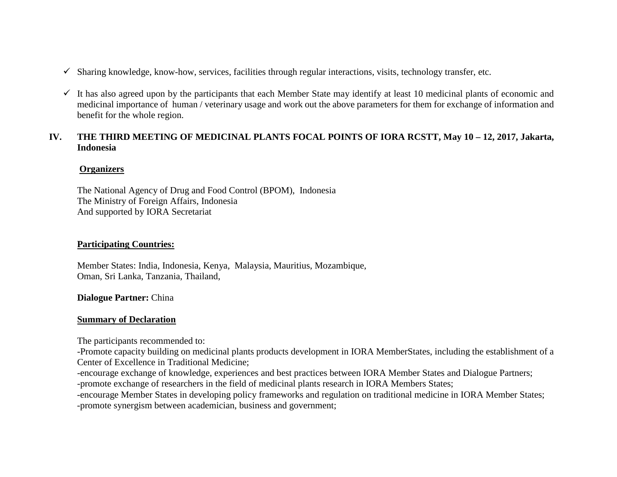- $\checkmark$  Sharing knowledge, know-how, services, facilities through regular interactions, visits, technology transfer, etc.
- $\checkmark$  It has also agreed upon by the participants that each Member State may identify at least 10 medicinal plants of economic and medicinal importance of human / veterinary usage and work out the above parameters for them for exchange of information and benefit for the whole region.

## **IV. THE THIRD MEETING OF MEDICINAL PLANTS FOCAL POINTS OF IORA RCSTT, May 10 – 12, 2017, Jakarta, Indonesia**

## **Organizers**

The National Agency of Drug and Food Control (BPOM), Indonesia The Ministry of Foreign Affairs, Indonesia And supported by IORA Secretariat

## **Participating Countries:**

Member States: India, Indonesia, Kenya, Malaysia, Mauritius, Mozambique, Oman, Sri Lanka, Tanzania, Thailand,

### **Dialogue Partner:** China

### **Summary of Declaration**

The participants recommended to:

-Promote capacity building on medicinal plants products development in IORA MemberStates, including the establishment of a Center of Excellence in Traditional Medicine;

-encourage exchange of knowledge, experiences and best practices between IORA Member States and Dialogue Partners; -promote exchange of researchers in the field of medicinal plants research in IORA Members States;

-encourage Member States in developing policy frameworks and regulation on traditional medicine in IORA Member States; -promote synergism between academician, business and government;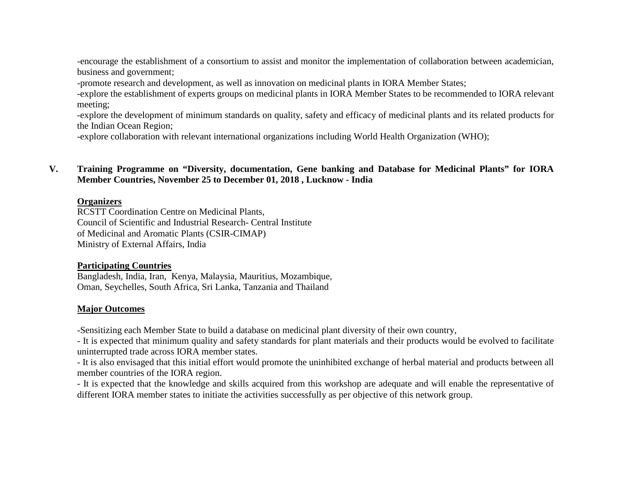-encourage the establishment of a consortium to assist and monitor the implementation of collaboration between academician, business and government;

-promote research and development, as well as innovation on medicinal plants in IORA Member States;

-explore the establishment of experts groups on medicinal plants in IORA Member States to be recommended to IORA relevant meeting;

-explore the development of minimum standards on quality, safety and efficacy of medicinal plants and its related products for the Indian Ocean Region;

-explore collaboration with relevant international organizations including World Health Organization (WHO);

**V. Training Programme on "Diversity, documentation, Gene banking and Database for Medicinal Plants" for IORA Member Countries, November 25 to December 01, 2018 , Lucknow - India** 

### **Organizers**

RCSTT Coordination Centre on Medicinal Plants, Council of Scientific and Industrial Research- Central Institute of Medicinal and Aromatic Plants (CSIR-CIMAP) Ministry of External Affairs, India

### **Participating Countries**

Bangladesh, India, Iran, Kenya, Malaysia, Mauritius, Mozambique, Oman, Seychelles, South Africa, Sri Lanka, Tanzania and Thailand

## **Major Outcomes**

-Sensitizing each Member State to build a database on medicinal plant diversity of their own country,

- It is expected that minimum quality and safety standards for plant materials and their products would be evolved to facilitate uninterrupted trade across IORA member states.

- It is also envisaged that this initial effort would promote the uninhibited exchange of herbal material and products between all member countries of the IORA region.

- It is expected that the knowledge and skills acquired from this workshop are adequate and will enable the representative of different IORA member states to initiate the activities successfully as per objective of this network group.